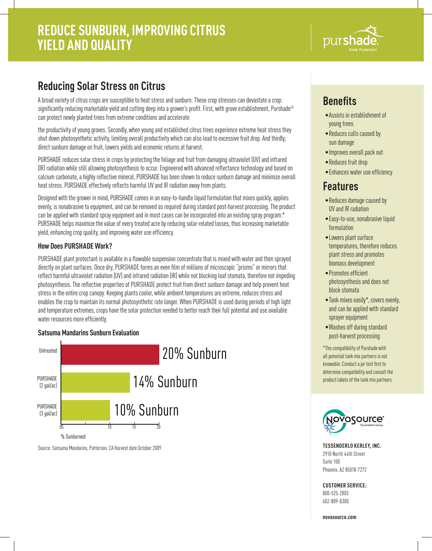

# **Reducing Solar Stress on Citrus**

A broad variety of citrus crops are susceptible to heat stress and sunburn. These crop stresses can devastate a crop: significantly reducing marketable yield and cutting deep into a grower's profit. First, with grove establishment, Purshade® can protect newly planted trees from extreme conditions and accelerate

the productivity of young groves. Secondly, when young and established citrus trees experience extreme heat stress they shut down photosynthetic activity, limiting overall productivity which can also lead to excessive fruit drop. And thirdly, direct sunburn damage on fruit, lowers yields and economic returns at harvest.

PURSHADE reduces solar stress in crops by protecting the foliage and fruit from damaging ultraviolet (UV) and infrared (IR) radiation while still allowing photosynthesis to occur. Engineered with advanced reflectance technology and based on calcium carbonate, a highly reflective mineral, PURSHADE has been shown to reduce sunburn damage and minimize overall heat stress. PURSHADE effectively reflects harmful UV and IR radiation away from plants.

Designed with the grower in mind, PURSHADE comes in an easy-to-handle liquid formulation that mixes quickly, applies evenly, is nonabrasive to equipment, and can be removed as required during standard post-harvest processing. The product can be applied with standard spray equipment and in most cases can be incorporated into an existing spray program.\* PURSHADE helps maximize the value of every treated acre by reducing solar-related losses, thus increasing marketable yield, enhancing crop quality, and improving water use efficiency.

### **How Does PURSHADE Work?**

PURSHADE plant protectant is available in a flowable suspension concentrate that is mixed with water and then sprayed directly on plant surfaces. Once dry, PURSHADE forms an even film of millions of microscopic "prisms" or mirrors that reflect harmful ultraviolet radiation (UV) and infrared radiation (IR) while not blocking leaf stomata, therefore not impeding photosynthesis. The reflective properties of PURSHADE protect fruit from direct sunburn damage and help prevent heat stress in the entire crop canopy. Keeping plants cooler, while ambient temperatures are extreme, reduces stress and enables the crop to maintain its normal photosynthetic rate longer. When PURSHADE is used during periods of high light and temperature extremes, crops have the solar protection needed to better reach their full potential and use available water resources more efficiently.

#### **Satsuma Mandarins Sunburn Evaluation**



Source: Satsuma Mandarins, Patterson, CA Harvest date October 2009

# **Benefits**

- •Assists in establishment of young trees
- •Reduces culls caused by sun damage
- •Improves overall pack out
- •Reduces fruit drop
- •Enhances water use efficiency

### **Features**

- •Reduces damage caused by UV and IR radiation
- •Easy-to-use, nonabrasive liquid formulation
- •Lowers plant surface temperatures, therefore reduces plant stress and promotes biomass development
- •Promotes efficient photosynthesis and does not block stomata
- •Tank mixes easily\*, covers evenly, and can be applied with standard sprayer equipment
- •Washes off during standard post-harvest processing

\*The compatibility of Purshade with all potential tank mix partners is not knowable. Conduct a jar test first to determine compatibility and consult the product labels of the tank mix partners.



**TESSENDERLO KERLEY, INC.** 2910 North 44th Street Suite 100 Phoenix, AZ 85018-7272

**CUSTOMER SERVICE:**

800-525-2803 602-889-8300

**novasource.com**